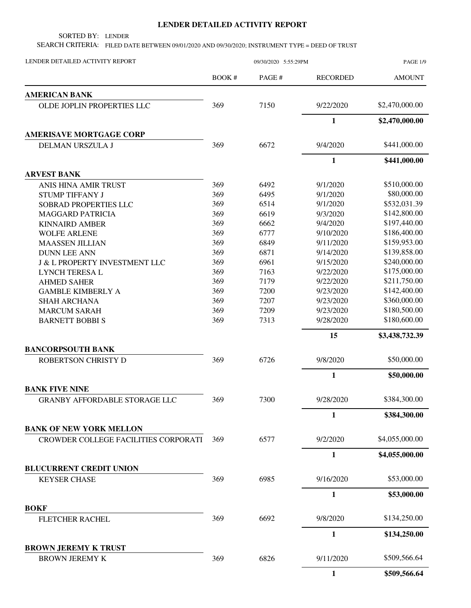## **LENDER DETAILED ACTIVITY REPORT**

SORTED BY: LENDER

SEARCH CRITERIA: FILED DATE BETWEEN 09/01/2020 AND 09/30/2020; INSTRUMENT TYPE = DEED OF TRUST

| LENDER DETAILED ACTIVITY REPORT          | 09/30/2020 5:55:29PM |        |                 | <b>PAGE 1/9</b> |
|------------------------------------------|----------------------|--------|-----------------|-----------------|
|                                          | BOOK #               | PAGE # | <b>RECORDED</b> | <b>AMOUNT</b>   |
| <b>AMERICAN BANK</b>                     |                      |        |                 |                 |
| <b>OLDE JOPLIN PROPERTIES LLC</b>        | 369                  | 7150   | 9/22/2020       | \$2,470,000.00  |
|                                          |                      |        | $\mathbf{1}$    | \$2,470,000.00  |
| <b>AMERISAVE MORTGAGE CORP</b>           |                      |        |                 |                 |
| DELMAN URSZULA J                         | 369                  | 6672   | 9/4/2020        | \$441,000.00    |
|                                          |                      |        | $\mathbf{1}$    | \$441,000.00    |
| <b>ARVEST BANK</b>                       |                      |        |                 |                 |
| ANIS HINA AMIR TRUST                     | 369                  | 6492   | 9/1/2020        | \$510,000.00    |
| <b>STUMP TIFFANY J</b>                   | 369                  | 6495   | 9/1/2020        | \$80,000.00     |
| SOBRAD PROPERTIES LLC                    | 369                  | 6514   | 9/1/2020        | \$532,031.39    |
| <b>MAGGARD PATRICIA</b>                  | 369                  | 6619   | 9/3/2020        | \$142,800.00    |
| <b>KINNAIRD AMBER</b>                    | 369                  | 6662   | 9/4/2020        | \$197,440.00    |
| <b>WOLFE ARLENE</b>                      | 369                  | 6777   | 9/10/2020       | \$186,400.00    |
| <b>MAASSEN JILLIAN</b>                   | 369                  | 6849   | 9/11/2020       | \$159,953.00    |
| <b>DUNN LEE ANN</b>                      | 369                  | 6871   | 9/14/2020       | \$139,858.00    |
| <b>J &amp; L PROPERTY INVESTMENT LLC</b> | 369                  | 6961   | 9/15/2020       | \$240,000.00    |
| <b>LYNCH TERESA L</b>                    | 369                  | 7163   | 9/22/2020       | \$175,000.00    |
| <b>AHMED SAHER</b>                       | 369                  | 7179   | 9/22/2020       | \$211,750.00    |
| <b>GAMBLE KIMBERLY A</b>                 | 369                  | 7200   | 9/23/2020       | \$142,400.00    |
| <b>SHAH ARCHANA</b>                      | 369                  | 7207   | 9/23/2020       | \$360,000.00    |
|                                          | 369                  | 7209   | 9/23/2020       | \$180,500.00    |
| <b>MARCUM SARAH</b>                      |                      |        |                 |                 |
| <b>BARNETT BOBBI S</b>                   | 369                  | 7313   | 9/28/2020       | \$180,600.00    |
|                                          |                      |        | 15              | \$3,438,732.39  |
| <b>BANCORPSOUTH BANK</b>                 |                      | 6726   |                 | \$50,000.00     |
| <b>ROBERTSON CHRISTY D</b>               | 369                  |        | 9/8/2020        |                 |
|                                          |                      |        | $\mathbf{1}$    | \$50,000.00     |
| <b>BANK FIVE NINE</b>                    |                      |        |                 |                 |
| GRANBY AFFORDABLE STORAGE LLC            | 369                  | 7300   | 9/28/2020       | \$384,300.00    |
|                                          |                      |        | $\mathbf{1}$    | \$384,300.00    |
| <b>BANK OF NEW YORK MELLON</b>           |                      |        |                 |                 |
| CROWDER COLLEGE FACILITIES CORPORATI     | 369                  | 6577   | 9/2/2020        | \$4,055,000.00  |
|                                          |                      |        | $\mathbf{1}$    | \$4,055,000.00  |
| <b>BLUCURRENT CREDIT UNION</b>           |                      |        |                 |                 |
| <b>KEYSER CHASE</b>                      | 369                  | 6985   | 9/16/2020       | \$53,000.00     |
|                                          |                      |        | $\mathbf{1}$    | \$53,000.00     |
| <b>BOKF</b>                              |                      |        |                 |                 |
| FLETCHER RACHEL                          | 369                  | 6692   | 9/8/2020        | \$134,250.00    |
|                                          |                      |        | $\mathbf{1}$    | \$134,250.00    |
| <b>BROWN JEREMY K TRUST</b>              |                      |        |                 |                 |
| <b>BROWN JEREMY K</b>                    | 369                  | 6826   | 9/11/2020       | \$509,566.64    |
|                                          |                      |        | $\mathbf{1}$    | \$509,566.64    |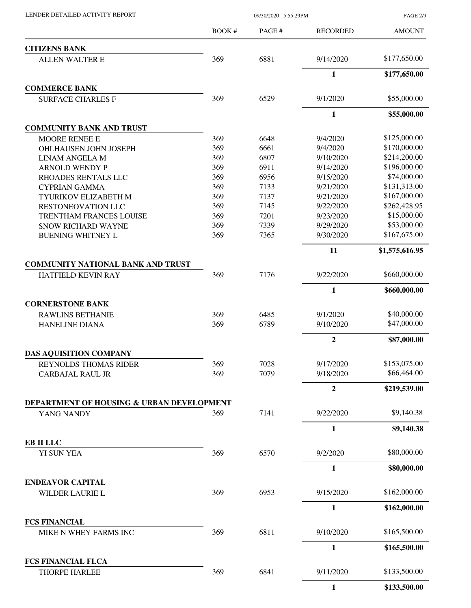LENDER DETAILED ACTIVITY REPORT 09/30/2020 5:55:29PM

PAGE 2/9

|                                            | BOOK # | PAGE# | <b>RECORDED</b> | <b>AMOUNT</b>  |
|--------------------------------------------|--------|-------|-----------------|----------------|
| <b>CITIZENS BANK</b>                       |        |       |                 |                |
| <b>ALLEN WALTER E</b>                      | 369    | 6881  | 9/14/2020       | \$177,650.00   |
|                                            |        |       | 1               | \$177,650.00   |
| <b>COMMERCE BANK</b>                       |        |       |                 |                |
| <b>SURFACE CHARLES F</b>                   | 369    | 6529  | 9/1/2020        | \$55,000.00    |
|                                            |        |       | $\mathbf{1}$    | \$55,000.00    |
| <b>COMMUNITY BANK AND TRUST</b>            |        |       |                 |                |
| <b>MOORE RENEE E</b>                       | 369    | 6648  | 9/4/2020        | \$125,000.00   |
| OHLHAUSEN JOHN JOSEPH                      | 369    | 6661  | 9/4/2020        | \$170,000.00   |
| <b>LINAM ANGELA M</b>                      | 369    | 6807  | 9/10/2020       | \$214,200.00   |
| <b>ARNOLD WENDY P</b>                      | 369    | 6911  | 9/14/2020       | \$196,000.00   |
| <b>RHOADES RENTALS LLC</b>                 | 369    | 6956  | 9/15/2020       | \$74,000.00    |
| <b>CYPRIAN GAMMA</b>                       | 369    | 7133  | 9/21/2020       | \$131,313.00   |
| TYURIKOV ELIZABETH M                       | 369    | 7137  | 9/21/2020       | \$167,000.00   |
| <b>RESTONEOVATION LLC</b>                  | 369    | 7145  | 9/22/2020       | \$262,428.95   |
| TRENTHAM FRANCES LOUISE                    | 369    | 7201  | 9/23/2020       | \$15,000.00    |
| <b>SNOW RICHARD WAYNE</b>                  | 369    | 7339  | 9/29/2020       | \$53,000.00    |
| <b>BUENING WHITNEY L</b>                   | 369    | 7365  | 9/30/2020       | \$167,675.00   |
|                                            |        |       | 11              | \$1,575,616.95 |
| <b>COMMUNITY NATIONAL BANK AND TRUST</b>   |        |       |                 |                |
| <b>HATFIELD KEVIN RAY</b>                  | 369    | 7176  | 9/22/2020       | \$660,000.00   |
|                                            |        |       | $\mathbf{1}$    | \$660,000.00   |
| <b>CORNERSTONE BANK</b>                    |        |       |                 |                |
| <b>RAWLINS BETHANIE</b>                    | 369    | 6485  | 9/1/2020        | \$40,000.00    |
| <b>HANELINE DIANA</b>                      | 369    | 6789  | 9/10/2020       | \$47,000.00    |
|                                            |        |       | $\overline{2}$  | \$87,000.00    |
| DAS AQUISITION COMPANY                     |        |       |                 |                |
| REYNOLDS THOMAS RIDER                      | 369    | 7028  | 9/17/2020       | \$153,075.00   |
| <b>CARBAJAL RAUL JR</b>                    | 369    | 7079  | 9/18/2020       | \$66,464.00    |
|                                            |        |       | $\overline{2}$  | \$219,539.00   |
| DEPARTMENT OF HOUSING & URBAN DEVELOPMENT  |        |       |                 |                |
| YANG NANDY                                 | 369    | 7141  | 9/22/2020       | \$9,140.38     |
|                                            |        |       | 1               | \$9,140.38     |
| EB II LLC<br>YI SUN YEA                    | 369    | 6570  | 9/2/2020        | \$80,000.00    |
|                                            |        |       | $\mathbf{1}$    | \$80,000.00    |
|                                            |        |       |                 |                |
| <b>ENDEAVOR CAPITAL</b><br>WILDER LAURIE L | 369    | 6953  | 9/15/2020       | \$162,000.00   |
|                                            |        |       | $\mathbf{1}$    | \$162,000.00   |
| <b>FCS FINANCIAL</b>                       |        |       |                 |                |
| MIKE N WHEY FARMS INC                      | 369    | 6811  | 9/10/2020       | \$165,500.00   |
|                                            |        |       | 1               | \$165,500.00   |
| <b>FCS FINANCIAL FLCA</b>                  |        |       |                 |                |
| <b>THORPE HARLEE</b>                       | 369    | 6841  | 9/11/2020       | \$133,500.00   |
|                                            |        |       | $\mathbf{1}$    | \$133,500.00   |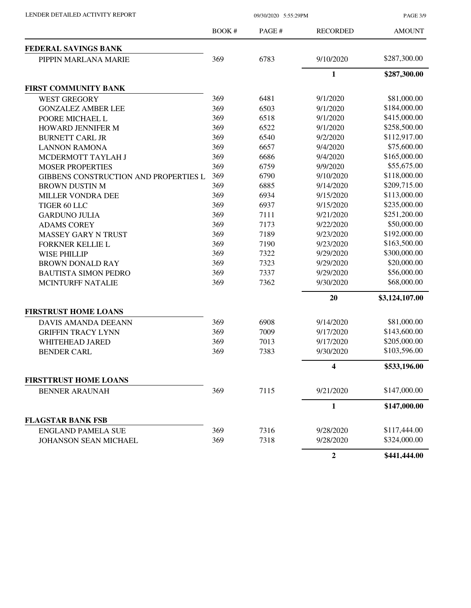PAGE 3/9

|                                       | <b>BOOK#</b> | PAGE# | <b>RECORDED</b>         | <b>AMOUNT</b>  |
|---------------------------------------|--------------|-------|-------------------------|----------------|
| FEDERAL SAVINGS BANK                  |              |       |                         |                |
| PIPPIN MARLANA MARIE                  | 369          | 6783  | 9/10/2020               | \$287,300.00   |
|                                       |              |       | $\mathbf{1}$            | \$287,300.00   |
| FIRST COMMUNITY BANK                  |              |       |                         |                |
| <b>WEST GREGORY</b>                   | 369          | 6481  | 9/1/2020                | \$81,000.00    |
| <b>GONZALEZ AMBER LEE</b>             | 369          | 6503  | 9/1/2020                | \$184,000.00   |
| POORE MICHAEL L                       | 369          | 6518  | 9/1/2020                | \$415,000.00   |
| HOWARD JENNIFER M                     | 369          | 6522  | 9/1/2020                | \$258,500.00   |
| <b>BURNETT CARL JR</b>                | 369          | 6540  | 9/2/2020                | \$112,917.00   |
| <b>LANNON RAMONA</b>                  | 369          | 6657  | 9/4/2020                | \$75,600.00    |
| MCDERMOTT TAYLAH J                    | 369          | 6686  | 9/4/2020                | \$165,000.00   |
| <b>MOSER PROPERTIES</b>               | 369          | 6759  | 9/9/2020                | \$55,675.00    |
| GIBBENS CONSTRUCTION AND PROPERTIES L | 369          | 6790  | 9/10/2020               | \$118,000.00   |
| <b>BROWN DUSTIN M</b>                 | 369          | 6885  | 9/14/2020               | \$209,715.00   |
| MILLER VONDRA DEE                     | 369          | 6934  | 9/15/2020               | \$113,000.00   |
| TIGER 60 LLC                          | 369          | 6937  | 9/15/2020               | \$235,000.00   |
| <b>GARDUNO JULIA</b>                  | 369          | 7111  | 9/21/2020               | \$251,200.00   |
| <b>ADAMS COREY</b>                    | 369          | 7173  | 9/22/2020               | \$50,000.00    |
| <b>MASSEY GARY N TRUST</b>            | 369          | 7189  | 9/23/2020               | \$192,000.00   |
| <b>FORKNER KELLIE L</b>               | 369          | 7190  | 9/23/2020               | \$163,500.00   |
| <b>WISE PHILLIP</b>                   | 369          | 7322  | 9/29/2020               | \$300,000.00   |
| <b>BROWN DONALD RAY</b>               | 369          | 7323  | 9/29/2020               | \$20,000.00    |
| <b>BAUTISTA SIMON PEDRO</b>           | 369          | 7337  | 9/29/2020               | \$56,000.00    |
| <b>MCINTURFF NATALIE</b>              | 369          | 7362  | 9/30/2020               | \$68,000.00    |
|                                       |              |       | 20                      | \$3,124,107.00 |
| <b>FIRSTRUST HOME LOANS</b>           |              |       |                         |                |
| DAVIS AMANDA DEEANN                   | 369          | 6908  | 9/14/2020               | \$81,000.00    |
| <b>GRIFFIN TRACY LYNN</b>             | 369          | 7009  | 9/17/2020               | \$143,600.00   |
| <b>WHITEHEAD JARED</b>                | 369          | 7013  | 9/17/2020               | \$205,000.00   |
| <b>BENDER CARL</b>                    | 369          | 7383  | 9/30/2020               | \$103,596.00   |
|                                       |              |       | $\overline{\mathbf{4}}$ | \$533,196.00   |
| <b>FIRSTTRUST HOME LOANS</b>          |              |       |                         |                |
| <b>BENNER ARAUNAH</b>                 | 369          | 7115  | 9/21/2020               | \$147,000.00   |
|                                       |              |       | $\mathbf{1}$            | \$147,000.00   |
| <b>FLAGSTAR BANK FSB</b>              |              |       |                         |                |
| <b>ENGLAND PAMELA SUE</b>             | 369          | 7316  | 9/28/2020               | \$117,444.00   |
| JOHANSON SEAN MICHAEL                 | 369          | 7318  | 9/28/2020               | \$324,000.00   |
|                                       |              |       | $\boldsymbol{2}$        | \$441,444.00   |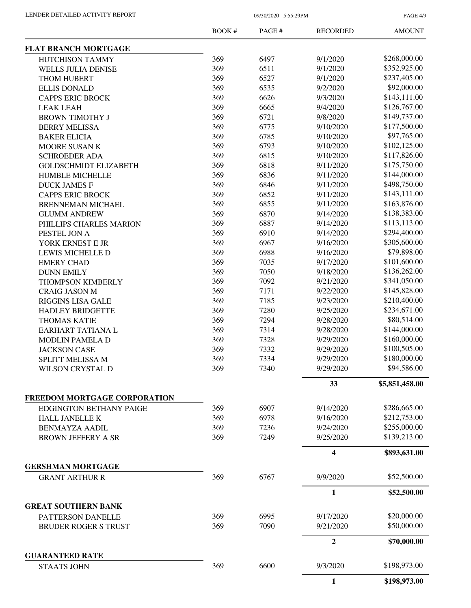PAGE 4/9

|                                              | <b>BOOK#</b> | PAGE# | <b>RECORDED</b> | <b>AMOUNT</b>  |
|----------------------------------------------|--------------|-------|-----------------|----------------|
| <b>FLAT BRANCH MORTGAGE</b>                  |              |       |                 |                |
| HUTCHISON TAMMY                              | 369          | 6497  | 9/1/2020        | \$268,000.00   |
| <b>WELLS JULIA DENISE</b>                    | 369          | 6511  | 9/1/2020        | \$352,925.00   |
| <b>THOM HUBERT</b>                           | 369          | 6527  | 9/1/2020        | \$237,405.00   |
| <b>ELLIS DONALD</b>                          | 369          | 6535  | 9/2/2020        | \$92,000.00    |
| <b>CAPPS ERIC BROCK</b>                      | 369          | 6626  | 9/3/2020        | \$143,111.00   |
| <b>LEAK LEAH</b>                             | 369          | 6665  | 9/4/2020        | \$126,767.00   |
| <b>BROWN TIMOTHY J</b>                       | 369          | 6721  | 9/8/2020        | \$149,737.00   |
| <b>BERRY MELISSA</b>                         | 369          | 6775  | 9/10/2020       | \$177,500.00   |
| <b>BAKER ELICIA</b>                          | 369          | 6785  | 9/10/2020       | \$97,765.00    |
| MOORE SUSAN K                                | 369          | 6793  | 9/10/2020       | \$102,125.00   |
| <b>SCHROEDER ADA</b>                         | 369          | 6815  | 9/10/2020       | \$117,826.00   |
| <b>GOLDSCHMIDT ELIZABETH</b>                 | 369          | 6818  | 9/11/2020       | \$175,750.00   |
| <b>HUMBLE MICHELLE</b>                       | 369          | 6836  | 9/11/2020       | \$144,000.00   |
| <b>DUCK JAMES F</b>                          | 369          | 6846  | 9/11/2020       | \$498,750.00   |
| <b>CAPPS ERIC BROCK</b>                      | 369          | 6852  | 9/11/2020       | \$143,111.00   |
|                                              | 369          | 6855  | 9/11/2020       | \$163,876.00   |
| <b>BRENNEMAN MICHAEL</b>                     | 369          |       |                 |                |
| <b>GLUMM ANDREW</b>                          |              | 6870  | 9/14/2020       | \$138,383.00   |
| PHILLIPS CHARLES MARION                      | 369          | 6887  | 9/14/2020       | \$113,113.00   |
| PESTEL JON A                                 | 369          | 6910  | 9/14/2020       | \$294,400.00   |
| YORK ERNEST E JR                             | 369          | 6967  | 9/16/2020       | \$305,600.00   |
| LEWIS MICHELLE D                             | 369          | 6988  | 9/16/2020       | \$79,898.00    |
| <b>EMERY CHAD</b>                            | 369          | 7035  | 9/17/2020       | \$101,600.00   |
| <b>DUNN EMILY</b>                            | 369          | 7050  | 9/18/2020       | \$136,262.00   |
| THOMPSON KIMBERLY                            | 369          | 7092  | 9/21/2020       | \$341,050.00   |
| <b>CRAIG JASON M</b>                         | 369          | 7171  | 9/22/2020       | \$145,828.00   |
| <b>RIGGINS LISA GALE</b>                     | 369          | 7185  | 9/23/2020       | \$210,400.00   |
| <b>HADLEY BRIDGETTE</b>                      | 369          | 7280  | 9/25/2020       | \$234,671.00   |
| <b>THOMAS KATIE</b>                          | 369          | 7294  | 9/28/2020       | \$80,514.00    |
| EARHART TATIANA L                            | 369          | 7314  | 9/28/2020       | \$144,000.00   |
| <b>MODLIN PAMELA D</b>                       | 369          | 7328  | 9/29/2020       | \$160,000.00   |
| <b>JACKSON CASE</b>                          | 369          | 7332  | 9/29/2020       | \$100,505.00   |
| SPLITT MELISSA M                             | 369          | 7334  | 9/29/2020       | \$180,000.00   |
| WILSON CRYSTAL D                             | 369          | 7340  | 9/29/2020       | \$94,586.00    |
|                                              |              |       | 33              | \$5,851,458.00 |
| FREEDOM MORTGAGE CORPORATION                 |              |       |                 |                |
| <b>EDGINGTON BETHANY PAIGE</b>               | 369          | 6907  | 9/14/2020       | \$286,665.00   |
| HALL JANELLE K                               | 369          | 6978  | 9/16/2020       | \$212,753.00   |
| <b>BENMAYZA AADIL</b>                        | 369          | 7236  | 9/24/2020       | \$255,000.00   |
| <b>BROWN JEFFERY A SR</b>                    | 369          | 7249  | 9/25/2020       | \$139,213.00   |
|                                              |              |       | 4               | \$893,631.00   |
| <b>GERSHMAN MORTGAGE</b>                     |              |       |                 |                |
| <b>GRANT ARTHUR R</b>                        | 369          | 6767  | 9/9/2020        | \$52,500.00    |
|                                              |              |       | $\mathbf{1}$    | \$52,500.00    |
| <b>GREAT SOUTHERN BANK</b>                   |              |       |                 |                |
| PATTERSON DANELLE                            | 369          | 6995  | 9/17/2020       | \$20,000.00    |
| <b>BRUDER ROGER S TRUST</b>                  | 369          | 7090  | 9/21/2020       | \$50,000.00    |
|                                              |              |       | $\overline{2}$  | \$70,000.00    |
| <b>GUARANTEED RATE</b><br><b>STAATS JOHN</b> | 369          | 6600  | 9/3/2020        | \$198,973.00   |
|                                              |              |       | $\mathbf{1}$    | \$198,973.00   |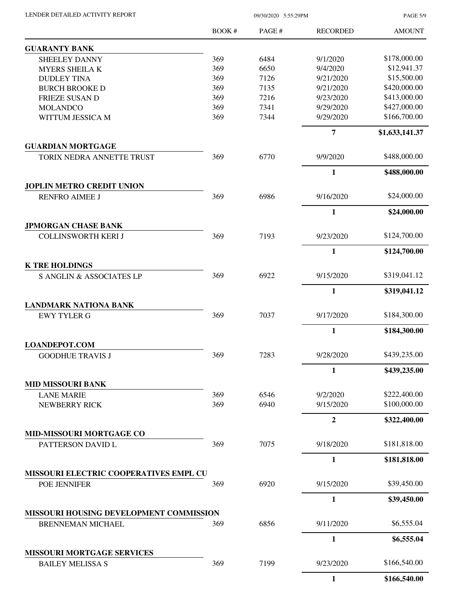| LENDER DETAILED ACTIVITY REPORT |  |
|---------------------------------|--|
|                                 |  |

09/30/2020 5:55:29PM

PAGE 5/9

|                                                    | <b>BOOK#</b> | PAGE# | <b>RECORDED</b> | <b>AMOUNT</b>  |
|----------------------------------------------------|--------------|-------|-----------------|----------------|
| <b>GUARANTY BANK</b>                               |              |       |                 |                |
| <b>SHEELEY DANNY</b>                               | 369          | 6484  | 9/1/2020        | \$178,000.00   |
| <b>MYERS SHEILA K</b>                              | 369          | 6650  | 9/4/2020        | \$12,941.37    |
| <b>DUDLEY TINA</b>                                 | 369          | 7126  | 9/21/2020       | \$15,500.00    |
| <b>BURCH BROOKE D</b>                              | 369          | 7135  | 9/21/2020       | \$420,000.00   |
| <b>FRIEZE SUSAN D</b>                              | 369          | 7216  | 9/23/2020       | \$413,000.00   |
| <b>MOLANDCO</b>                                    | 369          | 7341  | 9/29/2020       | \$427,000.00   |
| WITTUM JESSICA M                                   | 369          | 7344  | 9/29/2020       | \$166,700.00   |
|                                                    |              |       | $\overline{7}$  | \$1,633,141.37 |
| <b>GUARDIAN MORTGAGE</b>                           |              |       |                 |                |
| TORIX NEDRA ANNETTE TRUST                          | 369          | 6770  | 9/9/2020        | \$488,000.00   |
|                                                    |              |       | $\mathbf{1}$    | \$488,000.00   |
| <b>JOPLIN METRO CREDIT UNION</b>                   |              |       |                 |                |
| <b>RENFRO AIMEE J</b>                              | 369          | 6986  | 9/16/2020       | \$24,000.00    |
|                                                    |              |       | $\mathbf{1}$    | \$24,000.00    |
| <b>JPMORGAN CHASE BANK</b>                         |              |       |                 |                |
| <b>COLLINSWORTH KERI J</b>                         | 369          | 7193  | 9/23/2020       | \$124,700.00   |
|                                                    |              |       | $\mathbf{1}$    | \$124,700.00   |
| <b>K TRE HOLDINGS</b><br>S ANGLIN & ASSOCIATES LP  | 369          | 6922  | 9/15/2020       | \$319,041.12   |
|                                                    |              |       | $\mathbf{1}$    |                |
|                                                    |              |       |                 | \$319,041.12   |
| <b>LANDMARK NATIONA BANK</b><br><b>EWY TYLER G</b> | 369          | 7037  | 9/17/2020       | \$184,300.00   |
|                                                    |              |       | $\mathbf{1}$    | \$184,300.00   |
| <b>LOANDEPOT.COM</b>                               |              |       |                 |                |
| <b>GOODHUE TRAVIS J</b>                            | 369          | 7283  | 9/28/2020       | \$439,235.00   |
|                                                    |              |       | $\mathbf{1}$    | \$439,235.00   |
| <b>MID MISSOURI BANK</b>                           |              |       |                 |                |
| <b>LANE MARIE</b>                                  | 369          | 6546  | 9/2/2020        | \$222,400.00   |
| NEWBERRY RICK                                      | 369          | 6940  | 9/15/2020       | \$100,000.00   |
|                                                    |              |       | $\overline{2}$  | \$322,400.00   |
| <b>MID-MISSOURI MORTGAGE CO</b>                    |              |       |                 |                |
| PATTERSON DAVID L                                  | 369          | 7075  | 9/18/2020       | \$181,818.00   |
|                                                    |              |       | $\mathbf{1}$    | \$181,818.00   |
| MISSOURI ELECTRIC COOPERATIVES EMPL CU             |              |       |                 |                |
| POE JENNIFER                                       | 369          | 6920  | 9/15/2020       | \$39,450.00    |
|                                                    |              |       | $\mathbf{1}$    | \$39,450.00    |
| MISSOURI HOUSING DEVELOPMENT COMMISSION            |              |       |                 |                |
| <b>BRENNEMAN MICHAEL</b>                           | 369          | 6856  | 9/11/2020       | \$6,555.04     |
|                                                    |              |       | $\mathbf{1}$    | \$6,555.04     |
| <b>MISSOURI MORTGAGE SERVICES</b>                  |              |       |                 |                |
| <b>BAILEY MELISSA S</b>                            | 369          | 7199  | 9/23/2020       | \$166,540.00   |
|                                                    |              |       | 1               | \$166,540.00   |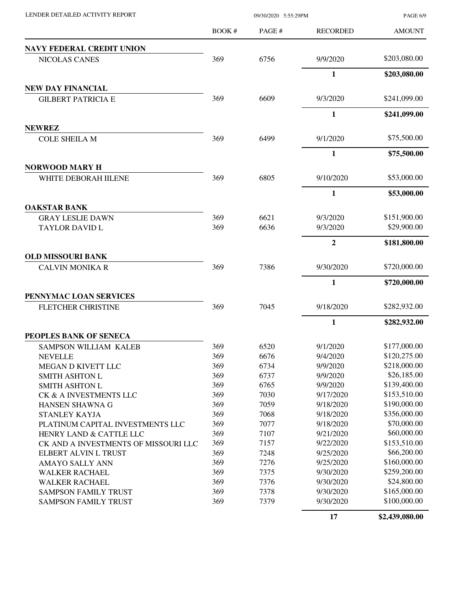|                                      | <b>BOOK#</b> | PAGE# | <b>RECORDED</b>  | <b>AMOUNT</b> |
|--------------------------------------|--------------|-------|------------------|---------------|
| <b>NAVY FEDERAL CREDIT UNION</b>     |              |       |                  |               |
| NICOLAS CANES                        | 369          | 6756  | 9/9/2020         | \$203,080.00  |
|                                      |              |       | $\mathbf{1}$     | \$203,080.00  |
| <b>NEW DAY FINANCIAL</b>             |              |       |                  |               |
| <b>GILBERT PATRICIA E</b>            | 369          | 6609  | 9/3/2020         | \$241,099.00  |
|                                      |              |       | 1                | \$241,099.00  |
| <b>NEWREZ</b>                        |              |       |                  |               |
| <b>COLE SHEILA M</b>                 | 369          | 6499  | 9/1/2020         | \$75,500.00   |
|                                      |              |       | 1                | \$75,500.00   |
| <b>NORWOOD MARY H</b>                |              |       |                  |               |
| WHITE DEBORAH IILENE                 | 369          | 6805  | 9/10/2020        | \$53,000.00   |
|                                      |              |       | $\mathbf{1}$     | \$53,000.00   |
| <b>OAKSTAR BANK</b>                  |              |       |                  |               |
| <b>GRAY LESLIE DAWN</b>              | 369          | 6621  | 9/3/2020         | \$151,900.00  |
| <b>TAYLOR DAVID L</b>                | 369          | 6636  | 9/3/2020         | \$29,900.00   |
|                                      |              |       | $\boldsymbol{2}$ | \$181,800.00  |
| <b>OLD MISSOURI BANK</b>             |              |       |                  |               |
| <b>CALVIN MONIKA R</b>               | 369          | 7386  | 9/30/2020        | \$720,000.00  |
|                                      |              |       |                  |               |
|                                      |              |       | 1                | \$720,000.00  |
| PENNYMAC LOAN SERVICES               |              |       |                  |               |
| <b>FLETCHER CHRISTINE</b>            | 369          | 7045  | 9/18/2020        | \$282,932.00  |
|                                      |              |       | 1                | \$282,932.00  |
| PEOPLES BANK OF SENECA               |              |       |                  |               |
| SAMPSON WILLIAM KALEB                | 369          | 6520  | 9/1/2020         | \$177,000.00  |
| <b>NEVELLE</b>                       | 369          | 6676  | 9/4/2020         | \$120,275.00  |
| MEGAN D KIVETT LLC                   | 369          | 6734  | 9/9/2020         | \$218,000.00  |
| <b>SMITH ASHTON L</b>                | 369          | 6737  | 9/9/2020         | \$26,185.00   |
| <b>SMITH ASHTON L</b>                | 369          | 6765  | 9/9/2020         | \$139,400.00  |
| CK & A INVESTMENTS LLC               | 369          | 7030  | 9/17/2020        | \$153,510.00  |
| HANSEN SHAWNA G                      | 369          | 7059  | 9/18/2020        | \$190,000.00  |
| STANLEY KAYJA                        | 369          | 7068  | 9/18/2020        | \$356,000.00  |
| PLATINUM CAPITAL INVESTMENTS LLC     | 369          | 7077  | 9/18/2020        | \$70,000.00   |
| HENRY LAND & CATTLE LLC              | 369          | 7107  | 9/21/2020        | \$60,000.00   |
| CK AND A INVESTMENTS OF MISSOURI LLC | 369          | 7157  | 9/22/2020        | \$153,510.00  |
| ELBERT ALVIN L TRUST                 | 369          | 7248  | 9/25/2020        | \$66,200.00   |
| AMAYO SALLY ANN                      | 369          | 7276  | 9/25/2020        | \$160,000.00  |
| <b>WALKER RACHAEL</b>                | 369          | 7375  | 9/30/2020        | \$259,200.00  |
| <b>WALKER RACHAEL</b>                | 369          | 7376  | 9/30/2020        | \$24,800.00   |
| <b>SAMPSON FAMILY TRUST</b>          | 369          | 7378  | 9/30/2020        | \$165,000.00  |
| <b>SAMPSON FAMILY TRUST</b>          | 369          | 7379  | 9/30/2020        | \$100,000.00  |

LENDER DETAILED ACTIVITY REPORT 09/30/2020 5:55:29PM

**17 \$2,439,080.00**

PAGE 6/9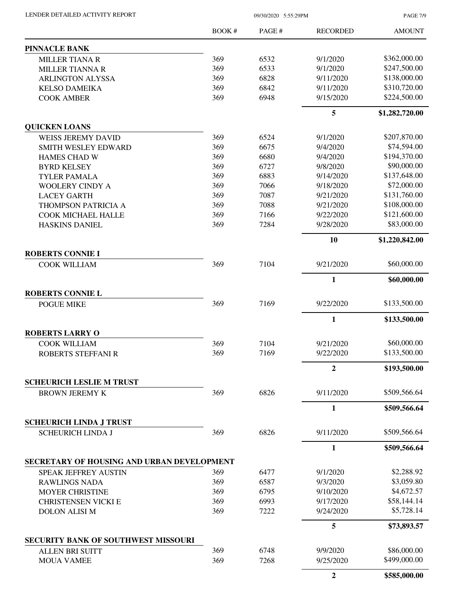LENDER DETAILED ACTIVITY REPORT 09/30/2020 5:55:29PM

PAGE 7/9

|                                                            | <b>BOOK#</b> | PAGE# | <b>RECORDED</b> | <b>AMOUNT</b>  |
|------------------------------------------------------------|--------------|-------|-----------------|----------------|
| <b>PINNACLE BANK</b>                                       |              |       |                 |                |
| <b>MILLER TIANA R</b>                                      | 369          | 6532  | 9/1/2020        | \$362,000.00   |
| <b>MILLER TIANNA R</b>                                     | 369          | 6533  | 9/1/2020        | \$247,500.00   |
| <b>ARLINGTON ALYSSA</b>                                    | 369          | 6828  | 9/11/2020       | \$138,000.00   |
| <b>KELSO DAMEIKA</b>                                       | 369          | 6842  | 9/11/2020       | \$310,720.00   |
| <b>COOK AMBER</b>                                          | 369          | 6948  | 9/15/2020       | \$224,500.00   |
|                                                            |              |       | 5               | \$1,282,720.00 |
| <b>QUICKEN LOANS</b>                                       |              |       |                 |                |
| <b>WEISS JEREMY DAVID</b>                                  | 369          | 6524  | 9/1/2020        | \$207,870.00   |
| <b>SMITH WESLEY EDWARD</b>                                 | 369          | 6675  | 9/4/2020        | \$74,594.00    |
| <b>HAMES CHAD W</b>                                        | 369          | 6680  | 9/4/2020        | \$194,370.00   |
| <b>BYRD KELSEY</b>                                         | 369          | 6727  | 9/8/2020        | \$90,000.00    |
| <b>TYLER PAMALA</b>                                        | 369          | 6883  | 9/14/2020       | \$137,648.00   |
| <b>WOOLERY CINDY A</b>                                     | 369          | 7066  | 9/18/2020       | \$72,000.00    |
| <b>LACEY GARTH</b>                                         | 369          | 7087  | 9/21/2020       | \$131,760.00   |
| THOMPSON PATRICIA A                                        | 369          | 7088  | 9/21/2020       | \$108,000.00   |
| COOK MICHAEL HALLE                                         | 369          | 7166  | 9/22/2020       | \$121,600.00   |
| <b>HASKINS DANIEL</b>                                      | 369          | 7284  | 9/28/2020       | \$83,000.00    |
|                                                            |              |       | 10              | \$1,220,842.00 |
| <b>ROBERTS CONNIE I</b>                                    | 369          | 7104  | 9/21/2020       | \$60,000.00    |
| <b>COOK WILLIAM</b>                                        |              |       |                 |                |
|                                                            |              |       | $\mathbf{1}$    | \$60,000.00    |
| <b>ROBERTS CONNIE L</b>                                    |              |       |                 |                |
| <b>POGUE MIKE</b>                                          | 369          | 7169  | 9/22/2020       | \$133,500.00   |
|                                                            |              |       | 1               | \$133,500.00   |
| <b>ROBERTS LARRY O</b>                                     |              |       |                 |                |
| <b>COOK WILLIAM</b>                                        | 369          | 7104  | 9/21/2020       | \$60,000.00    |
| <b>ROBERTS STEFFANI R</b>                                  | 369          | 7169  | 9/22/2020       | \$133,500.00   |
|                                                            |              |       | 2               | \$193,500.00   |
| <b>SCHEURICH LESLIE M TRUST</b>                            |              |       |                 |                |
| <b>BROWN JEREMY K</b>                                      | 369          | 6826  | 9/11/2020       | \$509,566.64   |
|                                                            |              |       | 1               | \$509,566.64   |
| <b>SCHEURICH LINDA J TRUST</b><br><b>SCHEURICH LINDA J</b> | 369          | 6826  | 9/11/2020       | \$509,566.64   |
|                                                            |              |       |                 |                |
| SECRETARY OF HOUSING AND URBAN DEVELOPMENT                 |              |       | $\mathbf{1}$    | \$509,566.64   |
| <b>SPEAK JEFFREY AUSTIN</b>                                | 369          | 6477  | 9/1/2020        | \$2,288.92     |
|                                                            | 369          | 6587  | 9/3/2020        | \$3,059.80     |
| <b>RAWLINGS NADA</b>                                       | 369          | 6795  | 9/10/2020       | \$4,672.57     |
| <b>MOYER CHRISTINE</b>                                     | 369          | 6993  | 9/17/2020       | \$58,144.14    |
| <b>CHRISTENSEN VICKI E</b><br><b>DOLON ALISI M</b>         | 369          | 7222  | 9/24/2020       | \$5,728.14     |
|                                                            |              |       | 5               | \$73,893.57    |
| <b>SECURITY BANK OF SOUTHWEST MISSOURI</b>                 |              |       |                 |                |
|                                                            | 369          | 6748  | 9/9/2020        | \$86,000.00    |
| <b>ALLEN BRI SUITT</b><br><b>MOUA VAMEE</b>                | 369          | 7268  | 9/25/2020       | \$499,000.00   |
|                                                            |              |       |                 |                |
|                                                            |              |       | $\overline{2}$  | \$585,000.00   |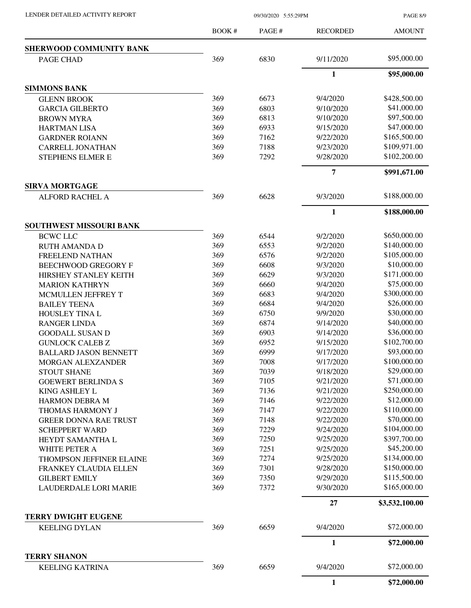PAGE 8/9

|                                                    | <b>BOOK#</b> | PAGE#        | <b>RECORDED</b> | <b>AMOUNT</b>               |
|----------------------------------------------------|--------------|--------------|-----------------|-----------------------------|
| <b>SHERWOOD COMMUNITY BANK</b>                     |              |              |                 |                             |
| PAGE CHAD                                          | 369          | 6830         | 9/11/2020       | \$95,000.00                 |
|                                                    |              |              | $\mathbf{1}$    | \$95,000.00                 |
| <b>SIMMONS BANK</b>                                |              |              |                 |                             |
| <b>GLENN BROOK</b>                                 | 369          | 6673         | 9/4/2020        | \$428,500.00                |
| <b>GARCIA GILBERTO</b>                             | 369          | 6803         | 9/10/2020       | \$41,000.00                 |
| <b>BROWN MYRA</b>                                  | 369          | 6813         | 9/10/2020       | \$97,500.00                 |
| <b>HARTMAN LISA</b>                                | 369          | 6933         | 9/15/2020       | \$47,000.00                 |
| <b>GARDNER ROIANN</b>                              | 369          | 7162         | 9/22/2020       | \$165,500.00                |
| <b>CARRELL JONATHAN</b>                            | 369          | 7188         | 9/23/2020       | \$109,971.00                |
| STEPHENS ELMER E                                   | 369          | 7292         | 9/28/2020       | \$102,200.00                |
|                                                    |              |              | 7               | \$991,671.00                |
| <b>SIRVA MORTGAGE</b>                              |              |              |                 |                             |
| <b>ALFORD RACHEL A</b>                             | 369          | 6628         | 9/3/2020        | \$188,000.00                |
|                                                    |              |              | $\mathbf{1}$    | \$188,000.00                |
| SOUTHWEST MISSOURI BANK<br><b>BCWC LLC</b>         | 369          | 6544         | 9/2/2020        | \$650,000.00                |
|                                                    | 369          | 6553         | 9/2/2020        | \$140,000.00                |
| <b>RUTH AMANDA D</b>                               | 369          | 6576         | 9/2/2020        | \$105,000.00                |
| FREELEND NATHAN                                    | 369          | 6608         | 9/3/2020        | \$10,000.00                 |
| <b>BEECHWOOD GREGORY F</b>                         | 369          | 6629         | 9/3/2020        | \$171,000.00                |
| HIRSHEY STANLEY KEITH                              | 369          | 6660         | 9/4/2020        | \$75,000.00                 |
| <b>MARION KATHRYN</b>                              |              |              |                 | \$300,000.00                |
| MCMULLEN JEFFREY T                                 | 369          | 6683         | 9/4/2020        | \$26,000.00                 |
| <b>BAILEY TEENA</b>                                | 369          | 6684         | 9/4/2020        | \$30,000.00                 |
| HOUSLEY TINA L                                     | 369          | 6750         | 9/9/2020        | \$40,000.00                 |
| <b>RANGER LINDA</b>                                | 369<br>369   | 6874<br>6903 | 9/14/2020       | \$36,000.00                 |
| <b>GOODALL SUSAN D</b>                             |              |              | 9/14/2020       | \$102,700.00                |
| <b>GUNLOCK CALEB Z</b>                             | 369          | 6952         | 9/15/2020       | \$93,000.00                 |
| <b>BALLARD JASON BENNETT</b>                       | 369          | 6999         | 9/17/2020       | \$100,000.00                |
| <b>MORGAN ALEXZANDER</b>                           | 369          | 7008         | 9/17/2020       |                             |
| <b>STOUT SHANE</b>                                 | 369          | 7039         | 9/18/2020       | \$29,000.00                 |
| <b>GOEWERT BERLINDA S</b>                          | 369          | 7105         | 9/21/2020       | \$71,000.00<br>\$250,000.00 |
| KING ASHLEY L                                      | 369          | 7136         | 9/21/2020       |                             |
| <b>HARMON DEBRA M</b>                              | 369          | 7146         | 9/22/2020       | \$12,000.00<br>\$110,000.00 |
| THOMAS HARMONY J                                   | 369          | 7147         | 9/22/2020       |                             |
| <b>GREER DONNA RAE TRUST</b>                       | 369          | 7148         | 9/22/2020       | \$70,000.00<br>\$104,000.00 |
| <b>SCHEPPERT WARD</b>                              | 369          | 7229         | 9/24/2020       | \$397,700.00                |
| HEYDT SAMANTHA L                                   | 369          | 7250         | 9/25/2020       |                             |
| WHITE PETER A                                      | 369          | 7251         | 9/25/2020       | \$45,200.00                 |
| THOMPSON JEFFINER ELAINE                           | 369          | 7274         | 9/25/2020       | \$134,000.00                |
| FRANKEY CLAUDIA ELLEN                              | 369          | 7301         | 9/28/2020       | \$150,000.00                |
| <b>GILBERT EMILY</b>                               | 369          | 7350         | 9/29/2020       | \$115,500.00                |
| <b>LAUDERDALE LORI MARIE</b>                       | 369          | 7372         | 9/30/2020       | \$165,000.00                |
|                                                    |              |              | 27              | \$3,532,100.00              |
| <b>TERRY DWIGHT EUGENE</b><br><b>KEELING DYLAN</b> | 369          | 6659         | 9/4/2020        | \$72,000.00                 |
|                                                    |              |              | 1               | \$72,000.00                 |
| <b>TERRY SHANON</b>                                |              |              |                 |                             |
| <b>KEELING KATRINA</b>                             | 369          | 6659         | 9/4/2020        | \$72,000.00                 |
|                                                    |              |              | $\mathbf{1}$    | \$72,000.00                 |